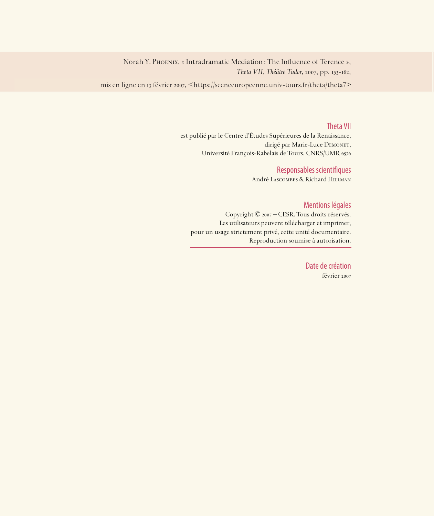Norah Y. PHOENIX, « Intradramatic Mediation : The Influence of Terence », *Theta VII*, *Théâtre Tudor*, 2007, pp. 153-162,

mis en ligne en 13 février 2007, <https://sceneeuropeenne.univ-tours.fr/theta/theta7>

#### Theta VII

est publié par le Centre d'Études Supérieures de la Renaissance, dirigé par Marie-Luce DEMONET, Université François-Rabelais de Tours, CNRS/UMR

#### Responsables scientifiques

André Lascombes & Richard Hillman

#### Mentions légales

Copyright © 2007 – CESR. Tous droits réservés. Les utilisateurs peuvent télécharger et imprimer, pour un usage strictement privé, cette unité documentaire. Reproduction soumise à autorisation.

> Date de création février 2007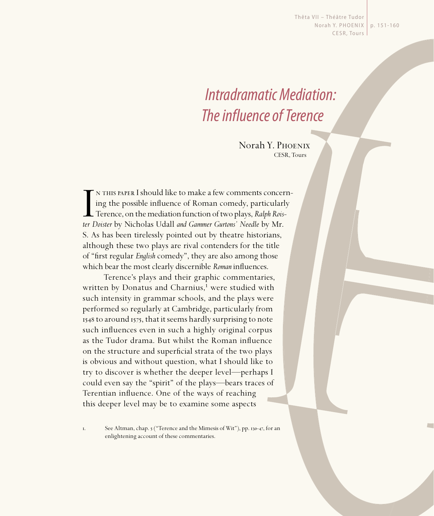Thêta VII - Théâtre Tudor Norah Y. PHOENIX | p. 151-160 CESR, Tours

# Intradramatic Mediation: The influence of Terence

Norah Y. Phoenix CESR, Tours

In this paper. I should like to make a few comments concerting the possible influence of Roman comedy, particularly<br>Terence, on the mediation function of two plays, *Ralph Roister Doister* by Nicholas Udall *and Gammer Gur* n this paper I should like to make a few comments concerning the possible influence of Roman comedy, particularly Terence, on the mediation function of two plays, *Ralph Rois-*S. As has been tirelessly pointed out by theatre historians, although these two plays are rival contenders for the title of "first regular *English* comedy", they are also among those which bear the most clearly discernible *Roman* influences.

Terence's plays and their graphic commentaries, written by Donatus and Charnius,<sup>1</sup> were studied with such intensity in grammar schools, and the plays were performed so regularly at Cambridge, particularly from 1548 to around 1575, that it seems hardly surprising to note such influences even in such a highly original corpus as the Tudor drama. But whilst the Roman influence on the structure and superficial strata of the two plays is obvious and without question, what I should like to try to discover is whether the deeper level—perhaps I could even say the "spirit" of the plays—bears traces of Terentian influence. One of the ways of reaching this deeper level may be to examine some aspects

I. See Altman, chap. 5 ("Terence and the Mimesis of Wit"), pp. 130-47, for an enlightening account of these commentaries.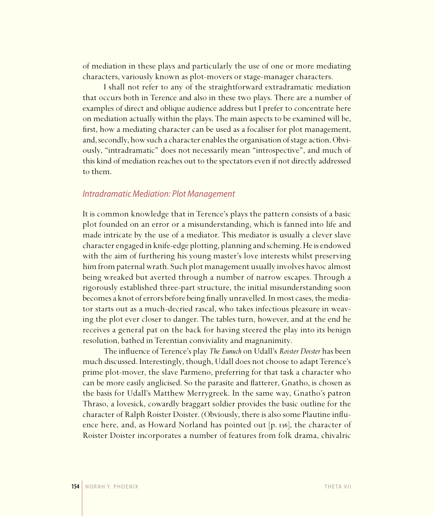of mediation in these plays and particularly the use of one or more mediating characters, variously known as plot-movers or stage-manager characters.

I shall not refer to any of the straightforward extradramatic mediation that occurs both in Terence and also in these two plays. There are a number of examples of direct and oblique audience address but I prefer to concentrate here on mediation actually within the plays. The main aspects to be examined will be, first, how a mediating character can be used as a focaliser for plot management, and, secondly, how such a character enables the organisation of stage action. Obviously, "intradramatic" does not necessarily mean "introspective", and much of this kind of mediation reaches out to the spectators even if not directly addressed to them.

#### Intradramatic Mediation: Plot Management

It is common knowledge that in Terence's plays the pattern consists of a basic plot founded on an error or a misunderstanding, which is fanned into life and made intricate by the use of a mediator. This mediator is usually a clever slave character engaged in knife-edge plotting, planning and scheming. He is endowed with the aim of furthering his young master's love interests whilst preserving him from paternal wrath. Such plot management usually involves havoc almost being wreaked but averted through a number of narrow escapes. Through a rigorously established three-part structure, the initial misunderstanding soon becomes a knot of errors before being finally unravelled. In most cases, the mediator starts out as a much-decried rascal, who takes infectious pleasure in weaving the plot ever closer to danger. The tables turn, however, and at the end he receives a general pat on the back for having steered the play into its benign resolution, bathed in Terentian conviviality and magnanimity.

The influence of Terence's play *The Eunuch* on Udall's *Roister Doister* has been much discussed. Interestingly, though, Udall does not choose to adapt Terence's prime plot-mover, the slave Parmeno, preferring for that task a character who can be more easily anglicised. So the parasite and flatterer, Gnatho, is chosen as the basis for Udall's Matthew Merrygreek. In the same way, Gnatho's patron Thraso, a lovesick, cowardly braggart soldier provides the basic outline for the character of Ralph Roister Doister. (Obviously, there is also some Plautine influence here, and, as Howard Norland has pointed out  $[p. 136]$ , the character of Roister Doister incorporates a number of features from folk drama, chivalric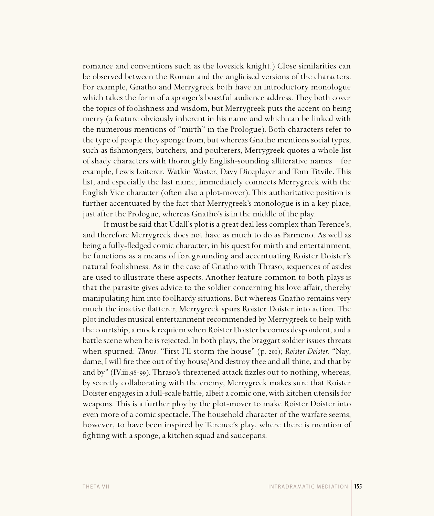romance and conventions such as the lovesick knight.) Close similarities can be observed between the Roman and the anglicised versions of the characters. For example, Gnatho and Merrygreek both have an introductory monologue which takes the form of a sponger's boastful audience address. They both cover the topics of foolishness and wisdom, but Merrygreek puts the accent on being merry (a feature obviously inherent in his name and which can be linked with the numerous mentions of "mirth" in the Prologue). Both characters refer to the type of people they sponge from, but whereas Gnatho mentions social types, such as fishmongers, butchers, and poulterers, Merrygreek quotes a whole list of shady characters with thoroughly English-sounding alliterative names—for example, Lewis Loiterer, Watkin Waster, Davy Diceplayer and Tom Titvile. This list, and especially the last name, immediately connects Merrygreek with the English Vice character (often also a plot-mover). This authoritative position is further accentuated by the fact that Merrygreek's monologue is in a key place, just after the Prologue, whereas Gnatho's is in the middle of the play.

It must be said that Udall's plot is a great deal less complex than Terence's, and therefore Merrygreek does not have as much to do as Parmeno. As well as being a fully-fledged comic character, in his quest for mirth and entertainment, he functions as a means of foregrounding and accentuating Roister Doister's natural foolishness. As in the case of Gnatho with Thraso, sequences of asides are used to illustrate these aspects. Another feature common to both plays is that the parasite gives advice to the soldier concerning his love affair, thereby manipulating him into foolhardy situations. But whereas Gnatho remains very much the inactive flatterer, Merrygreek spurs Roister Doister into action. The plot includes musical entertainment recommended by Merrygreek to help with the courtship, a mock requiem when Roister Doister becomes despondent, and a battle scene when he is rejected. In both plays, the braggart soldier issues threats when spurned: *Thraso.* "First I'll storm the house" (p. 201); *Roister Doister.* "Nay, dame, I will fire thee out of thy house/And destroy thee and all thine, and that by and by" (IV.iii.98-99). Thraso's threatened attack fizzles out to nothing, whereas, by secretly collaborating with the enemy, Merrygreek makes sure that Roister Doister engages in a full-scale battle, albeit a comic one, with kitchen utensils for weapons. This is a further ploy by the plot-mover to make Roister Doister into even more of a comic spectacle. The household character of the warfare seems, however, to have been inspired by Terence's play, where there is mention of fighting with a sponge, a kitchen squad and saucepans.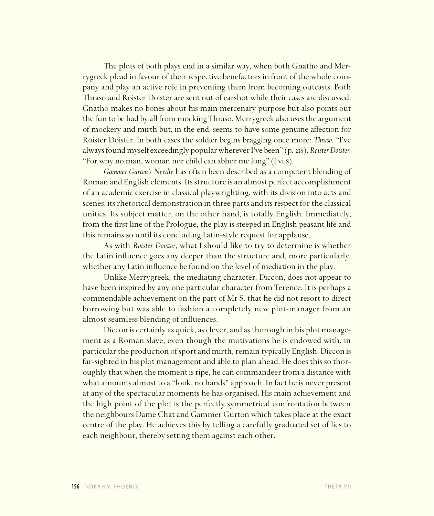The plots of both plays end in a similar way, when both Gnatho and Merrygreek plead in favour of their respective benefactors in front of the whole company and play an active role in preventing them from becoming outcasts. Both Thraso and Roister Doister are sent out of earshot while their cases are discussed. Gnatho makes no bones about his main mercenary purpose but also points out the fun to be had by all from mocking Thraso. Merrygreek also uses the argument of mockery and mirth but, in the end, seems to have some genuine affection for Roister Doister. In both cases the soldier begins bragging once more: *Thraso*. "I've always found myself exceedingly popular wherever I've been" (p. 218); Roister Doister. "For why no man, woman nor child can abhor me long" (I.vi.).

*Gammer Gurton's Needle* has often been described as a competent blending of Roman and English elements. Its structure is an almost perfect accomplishment of an academic exercise in classical playwrighting, with its division into acts and scenes, its rhetorical demonstration in three parts and its respect for the classical unities. Its subject matter, on the other hand, is totally English. Immediately, from the first line of the Prologue, the play is steeped in English peasant life and this remains so until its concluding Latin-style request for applause.

As with *Roister Doister*, what I should like to try to determine is whether the Latin influence goes any deeper than the structure and, more particularly, whether any Latin influence be found on the level of mediation in the play.

Unlike Merrygreek, the mediating character, Diccon, does not appear to have been inspired by any one particular character from Terence. It is perhaps a commendable achievement on the part of Mr S. that he did not resort to direct borrowing but was able to fashion a completely new plot-manager from an almost seamless blending of influences.

Diccon is certainly as quick, as clever, and as thorough in his plot management as a Roman slave, even though the motivations he is endowed with, in particular the production of sport and mirth, remain typically English. Diccon is far-sighted in his plot management and able to plan ahead. He does this so thoroughly that when the moment is ripe, he can commandeer from a distance with what amounts almost to a "look, no hands" approach. In fact he is never present at any of the spectacular moments he has organised. His main achievement and the high point of the plot is the perfectly symmetrical confrontation between the neighbours Dame Chat and Gammer Gurton which takes place at the exact centre of the play. He achieves this by telling a carefully graduated set of lies to each neighbour, thereby setting them against each other.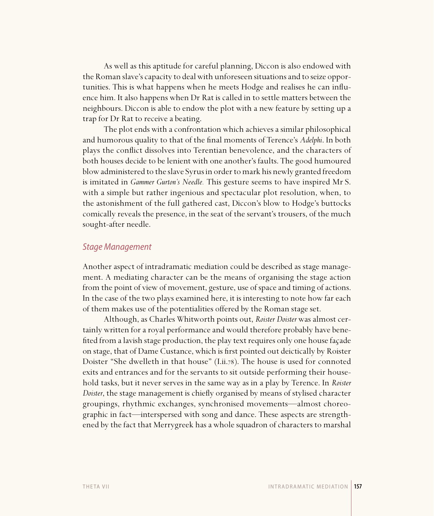As well as this aptitude for careful planning, Diccon is also endowed with the Roman slave's capacity to deal with unforeseen situations and to seize opportunities. This is what happens when he meets Hodge and realises he can influence him. It also happens when Dr Rat is called in to settle matters between the neighbours. Diccon is able to endow the plot with a new feature by setting up a trap for Dr Rat to receive a beating.

The plot ends with a confrontation which achieves a similar philosophical and humorous quality to that of the final moments of Terence's *Adelphi*. In both plays the conflict dissolves into Terentian benevolence, and the characters of both houses decide to be lenient with one another's faults. The good humoured blow administered to the slave Syrus in order to mark his newly granted freedom is imitated in *Gammer Gurton's Needle.* This gesture seems to have inspired Mr S. with a simple but rather ingenious and spectacular plot resolution, when, to the astonishment of the full gathered cast, Diccon's blow to Hodge's buttocks comically reveals the presence, in the seat of the servant's trousers, of the much sought-after needle.

#### Stage Management

Another aspect of intradramatic mediation could be described as stage management. A mediating character can be the means of organising the stage action from the point of view of movement, gesture, use of space and timing of actions. In the case of the two plays examined here, it is interesting to note how far each of them makes use of the potentialities offered by the Roman stage set.

Although, as Charles Whitworth points out, *Roister Doister* was almost certainly written for a royal performance and would therefore probably have benefi ted from a lavish stage production, the play text requires only one house façade on stage, that of Dame Custance, which is first pointed out deictically by Roister Doister "She dwelleth in that house" (I.ii.78). The house is used for connoted exits and entrances and for the servants to sit outside performing their household tasks, but it never serves in the same way as in a play by Terence. In *Roister Doister*, the stage management is chiefly organised by means of stylised character groupings, rhythmic exchanges, synchronised movements—almost choreographic in fact—interspersed with song and dance. These aspects are strengthened by the fact that Merrygreek has a whole squadron of characters to marshal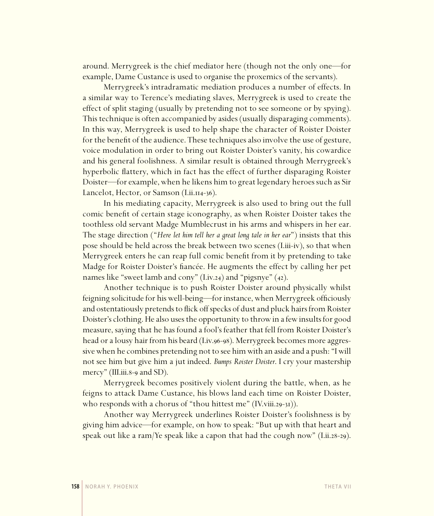around. Merrygreek is the chief mediator here (though not the only one—for example, Dame Custance is used to organise the proxemics of the servants).

Merrygreek's intradramatic mediation produces a number of effects. In a similar way to Terence's mediating slaves, Merrygreek is used to create the effect of split staging (usually by pretending not to see someone or by spying). This technique is often accompanied by asides (usually disparaging comments). In this way, Merrygreek is used to help shape the character of Roister Doister for the benefit of the audience. These techniques also involve the use of gesture, voice modulation in order to bring out Roister Doister's vanity, his cowardice and his general foolishness. A similar result is obtained through Merrygreek's hyperbolic flattery, which in fact has the effect of further disparaging Roister Doister—for example, when he likens him to great legendary heroes such as Sir Lancelot, Hector, or Samson (Lii.114-36).

In his mediating capacity, Merrygreek is also used to bring out the full comic benefit of certain stage iconography, as when Roister Doister takes the toothless old servant Madge Mumblecrust in his arms and whispers in her ear. The stage direction ("*Here let him tell her a great long tale in her ear*") insists that this pose should be held across the break between two scenes (I.iii-iv), so that when Merrygreek enters he can reap full comic benefit from it by pretending to take Madge for Roister Doister's fiancée. He augments the effect by calling her pet names like "sweet lamb and cony"  $(I.iv.24)$  and "pigsnye"  $(42)$ .

Another technique is to push Roister Doister around physically whilst feigning solicitude for his well-being—for instance, when Merrygreek officiously and ostentatiously pretends to flick off specks of dust and pluck hairs from Roister Doister's clothing. He also uses the opportunity to throw in a few insults for good measure, saying that he has found a fool's feather that fell from Roister Doister's head or a lousy hair from his beard (Liv.96-98). Merrygreek becomes more aggressive when he combines pretending not to see him with an aside and a push: "I will not see him but give him a jut indeed. *Bumps Roister Doister*. I cry your mastership mercy" (III.iii.8-9 and SD).

Merrygreek becomes positively violent during the battle, when, as he feigns to attack Dame Custance, his blows land each time on Roister Doister, who responds with a chorus of "thou hittest me"  $(IV. viii.29-3I).$ 

Another way Merrygreek underlines Roister Doister's foolishness is by giving him advice—for example, on how to speak: "But up with that heart and speak out like a ram/Ye speak like a capon that had the cough now"  $(I.ii.28-29)$ .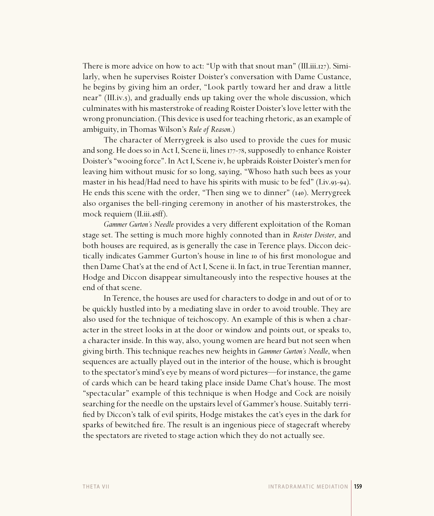There is more advice on how to act: "Up with that snout man" (III.iii.127). Similarly, when he supervises Roister Doister's conversation with Dame Custance, he begins by giving him an order, "Look partly toward her and draw a little near" (III.iv.5), and gradually ends up taking over the whole discussion, which culminates with his masterstroke of reading Roister Doister's love letter with the wrong pronunciation. (This device is used for teaching rhetoric, as an example of ambiguity, in Thomas Wilson's *Rule of Reason*.)

The character of Merrygreek is also used to provide the cues for music and song. He does so in Act I, Scene ii, lines 177-78, supposedly to enhance Roister Doister's "wooing force". In Act I, Scene iv, he upbraids Roister Doister's men for leaving him without music for so long, saying, "Whoso hath such bees as your master in his head/Had need to have his spirits with music to be fed" (I.iv.93-94). He ends this scene with the order, "Then sing we to dinner"  $(i40)$ . Merrygreek also organises the bell-ringing ceremony in another of his masterstrokes, the mock requiem (II.iii.48ff).

*Gammer Gurton's Needle* provides a very different exploitation of the Roman stage set. The setting is much more highly connoted than in *Roister Doister*, and both houses are required, as is generally the case in Terence plays. Diccon deictically indicates Gammer Gurton's house in line to of his first monologue and then Dame Chat's at the end of Act I, Scene ii. In fact, in true Terentian manner, Hodge and Diccon disappear simultaneously into the respective houses at the end of that scene.

In Terence, the houses are used for characters to dodge in and out of or to be quickly hustled into by a mediating slave in order to avoid trouble. They are also used for the technique of teichoscopy. An example of this is when a character in the street looks in at the door or window and points out, or speaks to, a character inside. In this way, also, young women are heard but not seen when giving birth. This technique reaches new heights in *Gammer Gurton's Needle*, when sequences are actually played out in the interior of the house, which is brought to the spectator's mind's eye by means of word pictures—for instance, the game of cards which can be heard taking place inside Dame Chat's house. The most "spectacular" example of this technique is when Hodge and Cock are noisily searching for the needle on the upstairs level of Gammer's house. Suitably terrified by Diccon's talk of evil spirits, Hodge mistakes the cat's eyes in the dark for sparks of bewitched fire. The result is an ingenious piece of stagecraft whereby the spectators are riveted to stage action which they do not actually see.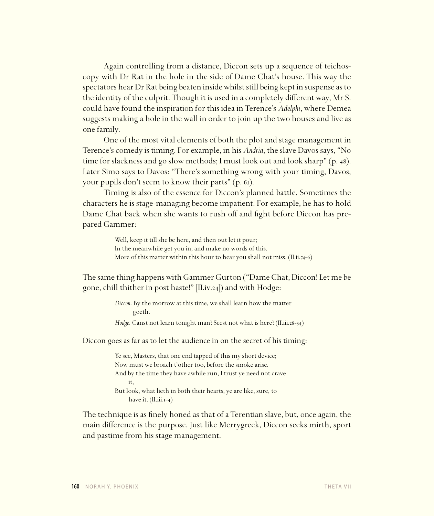Again controlling from a distance, Diccon sets up a sequence of teichoscopy with Dr Rat in the hole in the side of Dame Chat's house. This way the spectators hear Dr Rat being beaten inside whilst still being kept in suspense as to the identity of the culprit. Though it is used in a completely different way, Mr S. could have found the inspiration for this idea in Terence's *Adelphi*, where Demea suggests making a hole in the wall in order to join up the two houses and live as one family.

One of the most vital elements of both the plot and stage management in Terence's comedy is timing. For example, in his *Andria*, the slave Davos says, "No time for slackness and go slow methods; I must look out and look sharp" (p. 48). Later Simo says to Davos: "There's something wrong with your timing, Davos, your pupils don't seem to know their parts"  $(p. 6i)$ .

Timing is also of the essence for Diccon's planned battle. Sometimes the characters he is stage-managing become impatient. For example, he has to hold Dame Chat back when she wants to rush off and fight before Diccon has prepared Gammer:

> Well, keep it till she be here, and then out let it pour; In the meanwhile get you in, and make no words of this. More of this matter within this hour to hear you shall not miss.  $(II.ii.74-6)$

The same thing happens with Gammer Gurton ("Dame Chat, Diccon! Let me be gone, chill thither in post haste!"  $|II.iv.24|$  and with Hodge:

> *Diccon*. By the morrow at this time, we shall learn how the matter goeth.

*Hodge*. Canst not learn tonight man? Seest not what is here? (II.iii.28-34)

Diccon goes as far as to let the audience in on the secret of his timing:

Ye see, Masters, that one end tapped of this my short device; Now must we broach t'other too, before the smoke arise. And by the time they have awhile run, I trust ye need not crave it, But look, what lieth in both their hearts, ye are like, sure, to have it.  $(II.iii.r-4)$ 

The technique is as finely honed as that of a Terentian slave, but, once again, the main difference is the purpose. Just like Merrygreek, Diccon seeks mirth, sport and pastime from his stage management.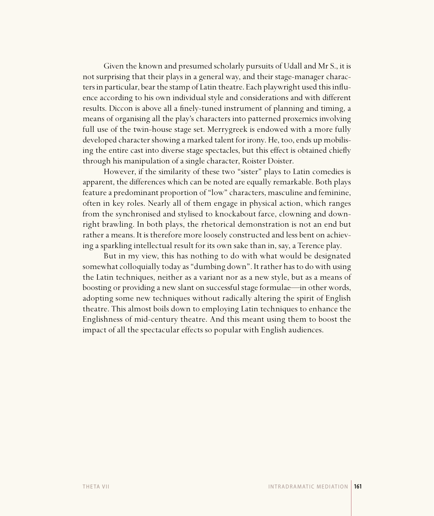Given the known and presumed scholarly pursuits of Udall and Mr S., it is not surprising that their plays in a general way, and their stage-manager characters in particular, bear the stamp of Latin theatre. Each playwright used this influence according to his own individual style and considerations and with different results. Diccon is above all a finely-tuned instrument of planning and timing, a means of organising all the play's characters into patterned proxemics involving full use of the twin-house stage set. Merrygreek is endowed with a more fully developed character showing a marked talent for irony. He, too, ends up mobilising the entire cast into diverse stage spectacles, but this effect is obtained chiefly through his manipulation of a single character, Roister Doister.

However, if the similarity of these two "sister" plays to Latin comedies is apparent, the differences which can be noted are equally remarkable. Both plays feature a predominant proportion of "low" characters, masculine and feminine, often in key roles. Nearly all of them engage in physical action, which ranges from the synchronised and stylised to knockabout farce, clowning and downright brawling. In both plays, the rhetorical demonstration is not an end but rather a means. It is therefore more loosely constructed and less bent on achieving a sparkling intellectual result for its own sake than in, say, a Terence play.

But in my view, this has nothing to do with what would be designated somewhat colloquially today as "dumbing down". It rather has to do with using the Latin techniques, neither as a variant nor as a new style, but as a means of boosting or providing a new slant on successful stage formulae—in other words, adopting some new techniques without radically altering the spirit of English theatre. This almost boils down to employing Latin techniques to enhance the Englishness of mid-century theatre. And this meant using them to boost the impact of all the spectacular effects so popular with English audiences.